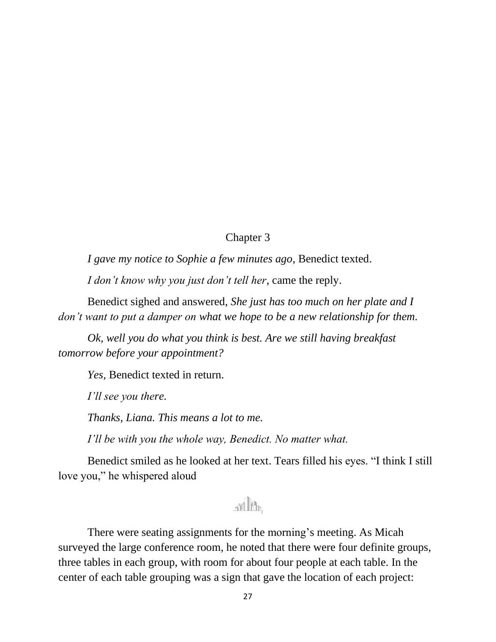## Chapter 3

*I gave my notice to Sophie a few minutes ago*, Benedict texted.

*I don't know why you just don't tell her*, came the reply.

Benedict sighed and answered, *She just has too much on her plate and I don't want to put a damper on what we hope to be a new relationship for them.*

*Ok, well you do what you think is best. Are we still having breakfast tomorrow before your appointment?*

*Yes,* Benedict texted in return.

*I'll see you there.*

*Thanks, Liana. This means a lot to me.*

*I'll be with you the whole way, Benedict. No matter what.* 

Benedict smiled as he looked at her text. Tears filled his eyes. "I think I still love you," he whispered aloud

## $\mathbb{R}$   $\mathbb{R}$

There were seating assignments for the morning's meeting. As Micah surveyed the large conference room, he noted that there were four definite groups, three tables in each group, with room for about four people at each table. In the center of each table grouping was a sign that gave the location of each project: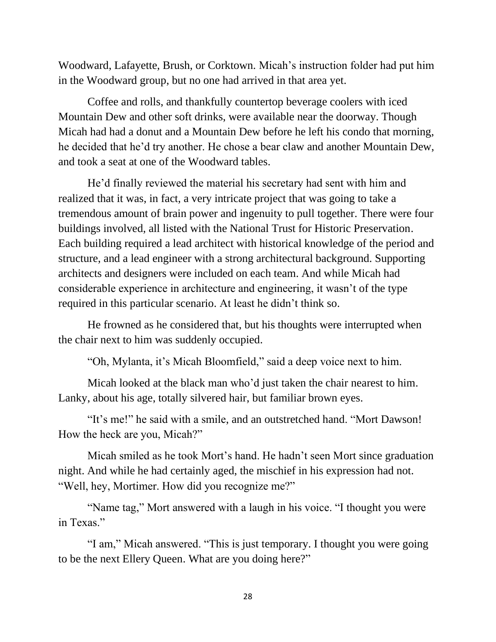Woodward, Lafayette, Brush, or Corktown. Micah's instruction folder had put him in the Woodward group, but no one had arrived in that area yet.

Coffee and rolls, and thankfully countertop beverage coolers with iced Mountain Dew and other soft drinks, were available near the doorway. Though Micah had had a donut and a Mountain Dew before he left his condo that morning, he decided that he'd try another. He chose a bear claw and another Mountain Dew, and took a seat at one of the Woodward tables.

He'd finally reviewed the material his secretary had sent with him and realized that it was, in fact, a very intricate project that was going to take a tremendous amount of brain power and ingenuity to pull together. There were four buildings involved, all listed with the National Trust for Historic Preservation. Each building required a lead architect with historical knowledge of the period and structure, and a lead engineer with a strong architectural background. Supporting architects and designers were included on each team. And while Micah had considerable experience in architecture and engineering, it wasn't of the type required in this particular scenario. At least he didn't think so.

He frowned as he considered that, but his thoughts were interrupted when the chair next to him was suddenly occupied.

"Oh, Mylanta, it's Micah Bloomfield," said a deep voice next to him.

Micah looked at the black man who'd just taken the chair nearest to him. Lanky, about his age, totally silvered hair, but familiar brown eyes.

"It's me!" he said with a smile, and an outstretched hand. "Mort Dawson! How the heck are you, Micah?"

Micah smiled as he took Mort's hand. He hadn't seen Mort since graduation night. And while he had certainly aged, the mischief in his expression had not. "Well, hey, Mortimer. How did you recognize me?"

"Name tag," Mort answered with a laugh in his voice. "I thought you were in Texas."

"I am," Micah answered. "This is just temporary. I thought you were going to be the next Ellery Queen. What are you doing here?"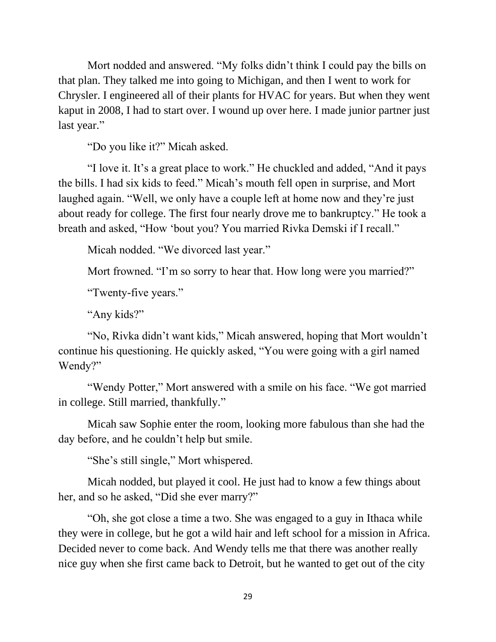Mort nodded and answered. "My folks didn't think I could pay the bills on that plan. They talked me into going to Michigan, and then I went to work for Chrysler. I engineered all of their plants for HVAC for years. But when they went kaput in 2008, I had to start over. I wound up over here. I made junior partner just last year."

"Do you like it?" Micah asked.

"I love it. It's a great place to work." He chuckled and added, "And it pays the bills. I had six kids to feed." Micah's mouth fell open in surprise, and Mort laughed again. "Well, we only have a couple left at home now and they're just about ready for college. The first four nearly drove me to bankruptcy." He took a breath and asked, "How 'bout you? You married Rivka Demski if I recall."

Micah nodded. "We divorced last year."

Mort frowned. "I'm so sorry to hear that. How long were you married?"

"Twenty-five years."

"Any kids?"

"No, Rivka didn't want kids," Micah answered, hoping that Mort wouldn't continue his questioning. He quickly asked, "You were going with a girl named Wendy?"

"Wendy Potter," Mort answered with a smile on his face. "We got married in college. Still married, thankfully."

Micah saw Sophie enter the room, looking more fabulous than she had the day before, and he couldn't help but smile.

"She's still single," Mort whispered.

Micah nodded, but played it cool. He just had to know a few things about her, and so he asked, "Did she ever marry?"

"Oh, she got close a time a two. She was engaged to a guy in Ithaca while they were in college, but he got a wild hair and left school for a mission in Africa. Decided never to come back. And Wendy tells me that there was another really nice guy when she first came back to Detroit, but he wanted to get out of the city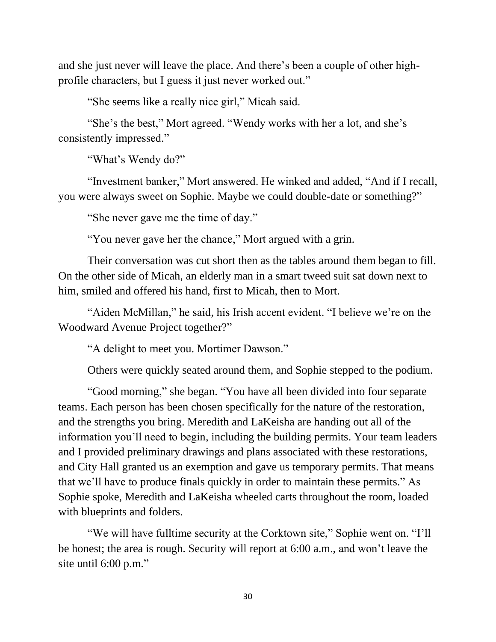and she just never will leave the place. And there's been a couple of other highprofile characters, but I guess it just never worked out."

"She seems like a really nice girl," Micah said.

"She's the best," Mort agreed. "Wendy works with her a lot, and she's consistently impressed."

"What's Wendy do?"

"Investment banker," Mort answered. He winked and added, "And if I recall, you were always sweet on Sophie. Maybe we could double-date or something?"

"She never gave me the time of day."

"You never gave her the chance," Mort argued with a grin.

Their conversation was cut short then as the tables around them began to fill. On the other side of Micah, an elderly man in a smart tweed suit sat down next to him, smiled and offered his hand, first to Micah, then to Mort.

"Aiden McMillan," he said, his Irish accent evident. "I believe we're on the Woodward Avenue Project together?"

"A delight to meet you. Mortimer Dawson."

Others were quickly seated around them, and Sophie stepped to the podium.

"Good morning," she began. "You have all been divided into four separate teams. Each person has been chosen specifically for the nature of the restoration, and the strengths you bring. Meredith and LaKeisha are handing out all of the information you'll need to begin, including the building permits. Your team leaders and I provided preliminary drawings and plans associated with these restorations, and City Hall granted us an exemption and gave us temporary permits. That means that we'll have to produce finals quickly in order to maintain these permits." As Sophie spoke, Meredith and LaKeisha wheeled carts throughout the room, loaded with blueprints and folders.

"We will have fulltime security at the Corktown site," Sophie went on. "I'll be honest; the area is rough. Security will report at 6:00 a.m., and won't leave the site until 6:00 p.m."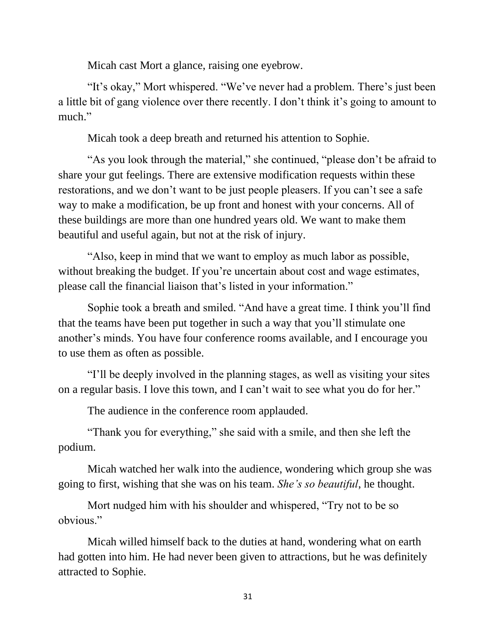Micah cast Mort a glance, raising one eyebrow.

"It's okay," Mort whispered. "We've never had a problem. There's just been a little bit of gang violence over there recently. I don't think it's going to amount to much."

Micah took a deep breath and returned his attention to Sophie.

"As you look through the material," she continued, "please don't be afraid to share your gut feelings. There are extensive modification requests within these restorations, and we don't want to be just people pleasers. If you can't see a safe way to make a modification, be up front and honest with your concerns. All of these buildings are more than one hundred years old. We want to make them beautiful and useful again, but not at the risk of injury.

"Also, keep in mind that we want to employ as much labor as possible, without breaking the budget. If you're uncertain about cost and wage estimates, please call the financial liaison that's listed in your information."

Sophie took a breath and smiled. "And have a great time. I think you'll find that the teams have been put together in such a way that you'll stimulate one another's minds. You have four conference rooms available, and I encourage you to use them as often as possible.

"I'll be deeply involved in the planning stages, as well as visiting your sites on a regular basis. I love this town, and I can't wait to see what you do for her."

The audience in the conference room applauded.

"Thank you for everything," she said with a smile, and then she left the podium.

Micah watched her walk into the audience, wondering which group she was going to first, wishing that she was on his team. *She's so beautiful*, he thought.

Mort nudged him with his shoulder and whispered, "Try not to be so obvious."

Micah willed himself back to the duties at hand, wondering what on earth had gotten into him. He had never been given to attractions, but he was definitely attracted to Sophie.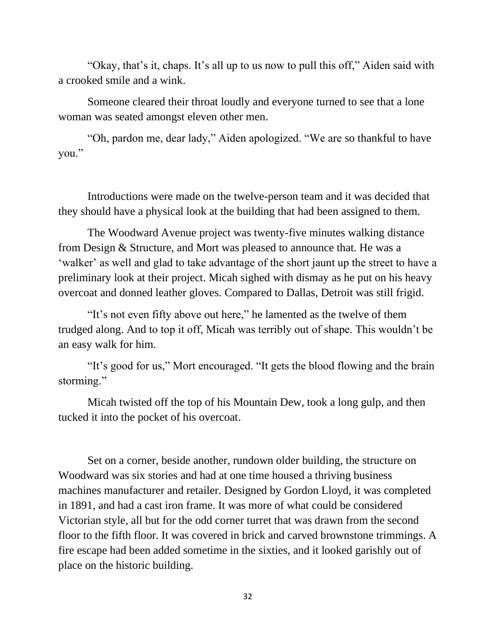"Okay, that's it, chaps. It's all up to us now to pull this off," Aiden said with a crooked smile and a wink.

Someone cleared their throat loudly and everyone turned to see that a lone woman was seated amongst eleven other men.

"Oh, pardon me, dear lady," Aiden apologized. "We are so thankful to have you."

Introductions were made on the twelve-person team and it was decided that they should have a physical look at the building that had been assigned to them.

The Woodward Avenue project was twenty-five minutes walking distance from Design & Structure, and Mort was pleased to announce that. He was a 'walker' as well and glad to take advantage of the short jaunt up the street to have a preliminary look at their project. Micah sighed with dismay as he put on his heavy overcoat and donned leather gloves. Compared to Dallas, Detroit was still frigid.

"It's not even fifty above out here," he lamented as the twelve of them trudged along. And to top it off, Micah was terribly out of shape. This wouldn't be an easy walk for him.

"It's good for us," Mort encouraged. "It gets the blood flowing and the brain storming."

Micah twisted off the top of his Mountain Dew, took a long gulp, and then tucked it into the pocket of his overcoat.

Set on a corner, beside another, rundown older building, the structure on Woodward was six stories and had at one time housed a thriving business machines manufacturer and retailer. Designed by Gordon Lloyd, it was completed in 1891, and had a cast iron frame. It was more of what could be considered Victorian style, all but for the odd corner turret that was drawn from the second floor to the fifth floor. It was covered in brick and carved brownstone trimmings. A fire escape had been added sometime in the sixties, and it looked garishly out of place on the historic building.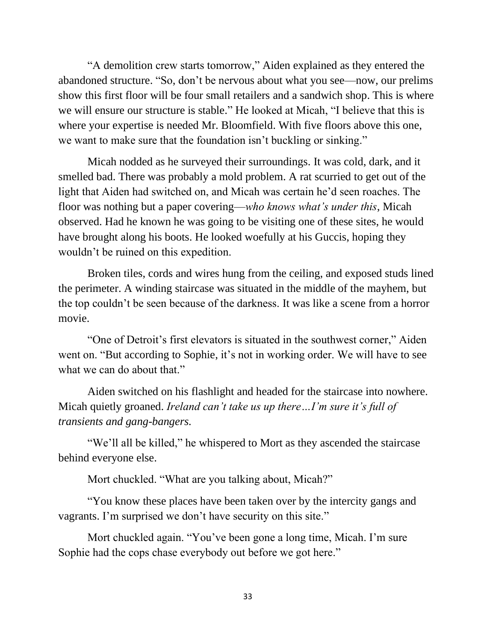"A demolition crew starts tomorrow," Aiden explained as they entered the abandoned structure. "So, don't be nervous about what you see—now, our prelims show this first floor will be four small retailers and a sandwich shop. This is where we will ensure our structure is stable." He looked at Micah, "I believe that this is where your expertise is needed Mr. Bloomfield. With five floors above this one, we want to make sure that the foundation isn't buckling or sinking."

Micah nodded as he surveyed their surroundings. It was cold, dark, and it smelled bad. There was probably a mold problem. A rat scurried to get out of the light that Aiden had switched on, and Micah was certain he'd seen roaches. The floor was nothing but a paper covering—*who knows what's under this*, Micah observed. Had he known he was going to be visiting one of these sites, he would have brought along his boots. He looked woefully at his Guccis, hoping they wouldn't be ruined on this expedition.

Broken tiles, cords and wires hung from the ceiling, and exposed studs lined the perimeter. A winding staircase was situated in the middle of the mayhem, but the top couldn't be seen because of the darkness. It was like a scene from a horror movie.

"One of Detroit's first elevators is situated in the southwest corner," Aiden went on. "But according to Sophie, it's not in working order. We will have to see what we can do about that."

Aiden switched on his flashlight and headed for the staircase into nowhere. Micah quietly groaned. *Ireland can't take us up there…I'm sure it's full of transients and gang-bangers.*

"We'll all be killed," he whispered to Mort as they ascended the staircase behind everyone else.

Mort chuckled. "What are you talking about, Micah?"

"You know these places have been taken over by the intercity gangs and vagrants. I'm surprised we don't have security on this site."

Mort chuckled again. "You've been gone a long time, Micah. I'm sure Sophie had the cops chase everybody out before we got here."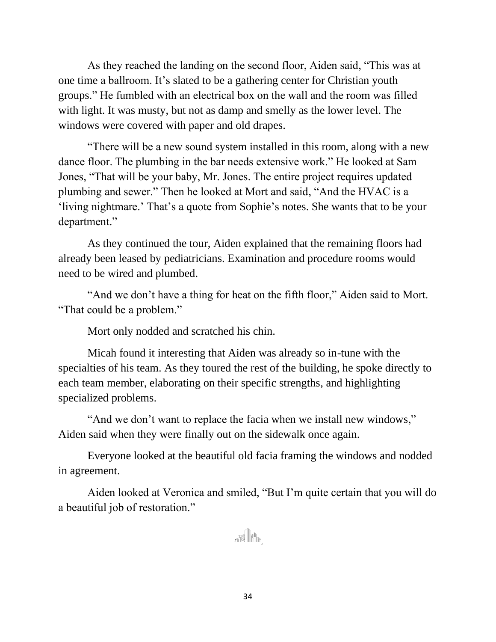As they reached the landing on the second floor, Aiden said, "This was at one time a ballroom. It's slated to be a gathering center for Christian youth groups." He fumbled with an electrical box on the wall and the room was filled with light. It was musty, but not as damp and smelly as the lower level. The windows were covered with paper and old drapes.

"There will be a new sound system installed in this room, along with a new dance floor. The plumbing in the bar needs extensive work." He looked at Sam Jones, "That will be your baby, Mr. Jones. The entire project requires updated plumbing and sewer." Then he looked at Mort and said, "And the HVAC is a 'living nightmare.' That's a quote from Sophie's notes. She wants that to be your department."

As they continued the tour, Aiden explained that the remaining floors had already been leased by pediatricians. Examination and procedure rooms would need to be wired and plumbed.

"And we don't have a thing for heat on the fifth floor," Aiden said to Mort. "That could be a problem."

Mort only nodded and scratched his chin.

Micah found it interesting that Aiden was already so in-tune with the specialties of his team. As they toured the rest of the building, he spoke directly to each team member, elaborating on their specific strengths, and highlighting specialized problems.

"And we don't want to replace the facia when we install new windows," Aiden said when they were finally out on the sidewalk once again.

Everyone looked at the beautiful old facia framing the windows and nodded in agreement.

Aiden looked at Veronica and smiled, "But I'm quite certain that you will do a beautiful job of restoration."

THE PA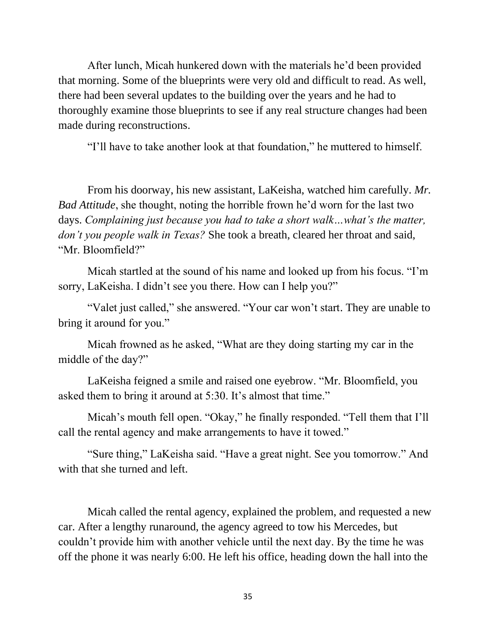After lunch, Micah hunkered down with the materials he'd been provided that morning. Some of the blueprints were very old and difficult to read. As well, there had been several updates to the building over the years and he had to thoroughly examine those blueprints to see if any real structure changes had been made during reconstructions.

"I'll have to take another look at that foundation," he muttered to himself.

From his doorway, his new assistant, LaKeisha, watched him carefully. *Mr. Bad Attitude*, she thought, noting the horrible frown he'd worn for the last two days. *Complaining just because you had to take a short walk…what's the matter, don't you people walk in Texas?* She took a breath, cleared her throat and said, "Mr. Bloomfield?"

Micah startled at the sound of his name and looked up from his focus. "I'm sorry, LaKeisha. I didn't see you there. How can I help you?"

"Valet just called," she answered. "Your car won't start. They are unable to bring it around for you."

Micah frowned as he asked, "What are they doing starting my car in the middle of the day?"

LaKeisha feigned a smile and raised one eyebrow. "Mr. Bloomfield, you asked them to bring it around at 5:30. It's almost that time."

Micah's mouth fell open. "Okay," he finally responded. "Tell them that I'll call the rental agency and make arrangements to have it towed."

"Sure thing," LaKeisha said. "Have a great night. See you tomorrow." And with that she turned and left.

Micah called the rental agency, explained the problem, and requested a new car. After a lengthy runaround, the agency agreed to tow his Mercedes, but couldn't provide him with another vehicle until the next day. By the time he was off the phone it was nearly 6:00. He left his office, heading down the hall into the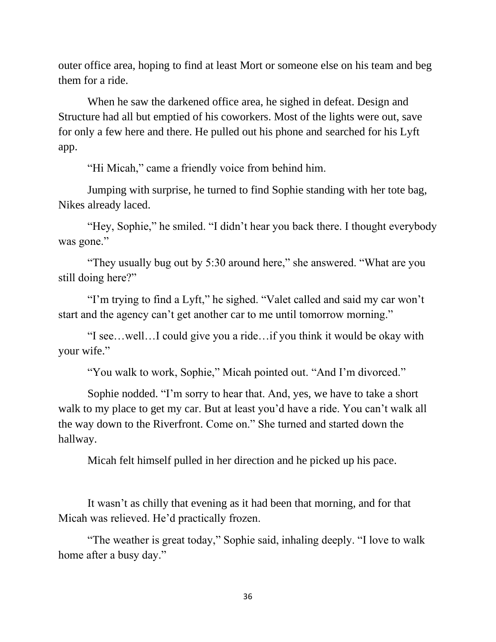outer office area, hoping to find at least Mort or someone else on his team and beg them for a ride.

When he saw the darkened office area, he sighed in defeat. Design and Structure had all but emptied of his coworkers. Most of the lights were out, save for only a few here and there. He pulled out his phone and searched for his Lyft app.

"Hi Micah," came a friendly voice from behind him.

Jumping with surprise, he turned to find Sophie standing with her tote bag, Nikes already laced.

"Hey, Sophie," he smiled. "I didn't hear you back there. I thought everybody was gone."

"They usually bug out by 5:30 around here," she answered. "What are you still doing here?"

"I'm trying to find a Lyft," he sighed. "Valet called and said my car won't start and the agency can't get another car to me until tomorrow morning."

"I see…well…I could give you a ride…if you think it would be okay with your wife."

"You walk to work, Sophie," Micah pointed out. "And I'm divorced."

Sophie nodded. "I'm sorry to hear that. And, yes, we have to take a short walk to my place to get my car. But at least you'd have a ride. You can't walk all the way down to the Riverfront. Come on." She turned and started down the hallway.

Micah felt himself pulled in her direction and he picked up his pace.

It wasn't as chilly that evening as it had been that morning, and for that Micah was relieved. He'd practically frozen.

"The weather is great today," Sophie said, inhaling deeply. "I love to walk home after a busy day."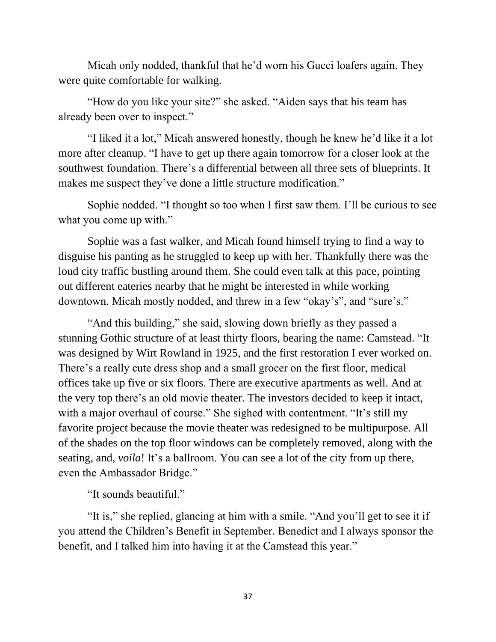Micah only nodded, thankful that he'd worn his Gucci loafers again. They were quite comfortable for walking.

"How do you like your site?" she asked. "Aiden says that his team has already been over to inspect."

"I liked it a lot," Micah answered honestly, though he knew he'd like it a lot more after cleanup. "I have to get up there again tomorrow for a closer look at the southwest foundation. There's a differential between all three sets of blueprints. It makes me suspect they've done a little structure modification."

Sophie nodded. "I thought so too when I first saw them. I'll be curious to see what you come up with."

Sophie was a fast walker, and Micah found himself trying to find a way to disguise his panting as he struggled to keep up with her. Thankfully there was the loud city traffic bustling around them. She could even talk at this pace, pointing out different eateries nearby that he might be interested in while working downtown. Micah mostly nodded, and threw in a few "okay's", and "sure's."

"And this building," she said, slowing down briefly as they passed a stunning Gothic structure of at least thirty floors, bearing the name: Camstead. "It was designed by Wirt Rowland in 1925, and the first restoration I ever worked on. There's a really cute dress shop and a small grocer on the first floor, medical offices take up five or six floors. There are executive apartments as well. And at the very top there's an old movie theater. The investors decided to keep it intact, with a major overhaul of course." She sighed with contentment. "It's still my favorite project because the movie theater was redesigned to be multipurpose. All of the shades on the top floor windows can be completely removed, along with the seating, and, *voila*! It's a ballroom. You can see a lot of the city from up there, even the Ambassador Bridge."

"It sounds beautiful."

"It is," she replied, glancing at him with a smile. "And you'll get to see it if you attend the Children's Benefit in September. Benedict and I always sponsor the benefit, and I talked him into having it at the Camstead this year."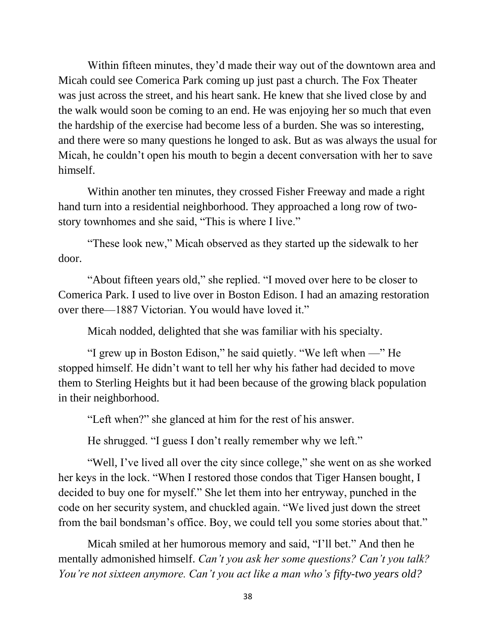Within fifteen minutes, they'd made their way out of the downtown area and Micah could see Comerica Park coming up just past a church. The Fox Theater was just across the street, and his heart sank. He knew that she lived close by and the walk would soon be coming to an end. He was enjoying her so much that even the hardship of the exercise had become less of a burden. She was so interesting, and there were so many questions he longed to ask. But as was always the usual for Micah, he couldn't open his mouth to begin a decent conversation with her to save himself.

Within another ten minutes, they crossed Fisher Freeway and made a right hand turn into a residential neighborhood. They approached a long row of twostory townhomes and she said, "This is where I live."

"These look new," Micah observed as they started up the sidewalk to her door.

"About fifteen years old," she replied. "I moved over here to be closer to Comerica Park. I used to live over in Boston Edison. I had an amazing restoration over there—1887 Victorian. You would have loved it."

Micah nodded, delighted that she was familiar with his specialty.

"I grew up in Boston Edison," he said quietly. "We left when —" He stopped himself. He didn't want to tell her why his father had decided to move them to Sterling Heights but it had been because of the growing black population in their neighborhood.

"Left when?" she glanced at him for the rest of his answer.

He shrugged. "I guess I don't really remember why we left."

"Well, I've lived all over the city since college," she went on as she worked her keys in the lock. "When I restored those condos that Tiger Hansen bought, I decided to buy one for myself." She let them into her entryway, punched in the code on her security system, and chuckled again. "We lived just down the street from the bail bondsman's office. Boy, we could tell you some stories about that."

Micah smiled at her humorous memory and said, "I'll bet." And then he mentally admonished himself. *Can't you ask her some questions? Can't you talk? You're not sixteen anymore. Can't you act like a man who's fifty-two years old?*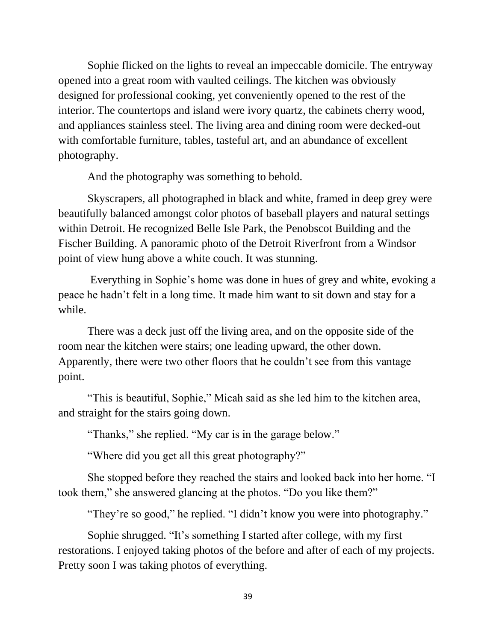Sophie flicked on the lights to reveal an impeccable domicile. The entryway opened into a great room with vaulted ceilings. The kitchen was obviously designed for professional cooking, yet conveniently opened to the rest of the interior. The countertops and island were ivory quartz, the cabinets cherry wood, and appliances stainless steel. The living area and dining room were decked-out with comfortable furniture, tables, tasteful art, and an abundance of excellent photography.

And the photography was something to behold.

Skyscrapers, all photographed in black and white, framed in deep grey were beautifully balanced amongst color photos of baseball players and natural settings within Detroit. He recognized Belle Isle Park, the Penobscot Building and the Fischer Building. A panoramic photo of the Detroit Riverfront from a Windsor point of view hung above a white couch. It was stunning.

Everything in Sophie's home was done in hues of grey and white, evoking a peace he hadn't felt in a long time. It made him want to sit down and stay for a while.

There was a deck just off the living area, and on the opposite side of the room near the kitchen were stairs; one leading upward, the other down. Apparently, there were two other floors that he couldn't see from this vantage point.

"This is beautiful, Sophie," Micah said as she led him to the kitchen area, and straight for the stairs going down.

"Thanks," she replied. "My car is in the garage below."

"Where did you get all this great photography?"

She stopped before they reached the stairs and looked back into her home. "I took them," she answered glancing at the photos. "Do you like them?"

"They're so good," he replied. "I didn't know you were into photography."

Sophie shrugged. "It's something I started after college, with my first restorations. I enjoyed taking photos of the before and after of each of my projects. Pretty soon I was taking photos of everything.